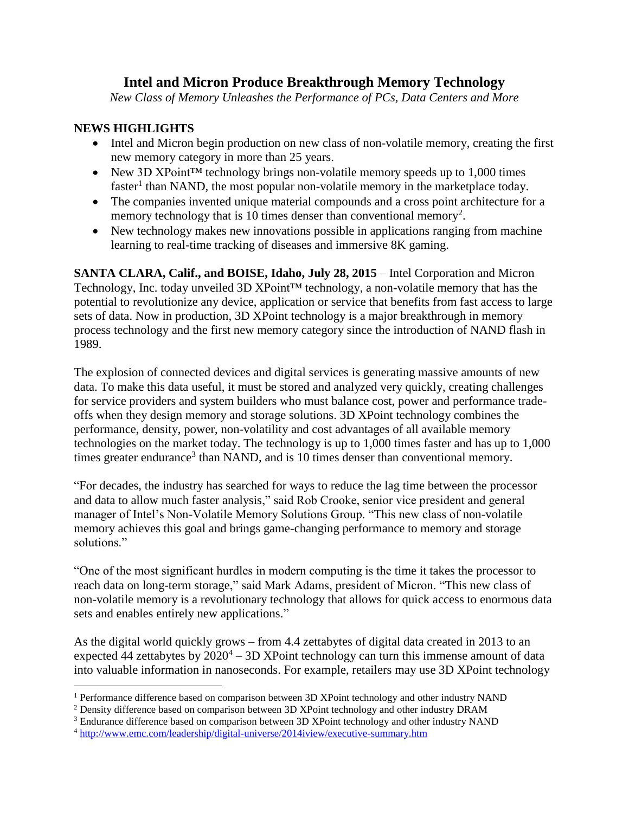# **Intel and Micron Produce Breakthrough Memory Technology**

*New Class of Memory Unleashes the Performance of PCs, Data Centers and More*

## **NEWS HIGHLIGHTS**

 $\overline{a}$ 

- Intel and Micron begin production on new class of non-volatile memory, creating the first new memory category in more than 25 years.
- New 3D XPoint<sup>™</sup> technology brings non-volatile memory speeds up to 1,000 times faster<sup>1</sup> than NAND, the most popular non-volatile memory in the marketplace today.
- The companies invented unique material compounds and a cross point architecture for a memory technology that is 10 times denser than conventional memory<sup>2</sup>.
- New technology makes new innovations possible in applications ranging from machine learning to real-time tracking of diseases and immersive 8K gaming.

**SANTA CLARA, Calif., and BOISE, Idaho, July 28, 2015** – Intel Corporation and Micron Technology, Inc. today unveiled 3D XPoint™ technology, a non-volatile memory that has the potential to revolutionize any device, application or service that benefits from fast access to large sets of data. Now in production, 3D XPoint technology is a major breakthrough in memory process technology and the first new memory category since the introduction of NAND flash in 1989.

The explosion of connected devices and digital services is generating massive amounts of new data. To make this data useful, it must be stored and analyzed very quickly, creating challenges for service providers and system builders who must balance cost, power and performance tradeoffs when they design memory and storage solutions. 3D XPoint technology combines the performance, density, power, non-volatility and cost advantages of all available memory technologies on the market today. The technology is up to 1,000 times faster and has up to 1,000 times greater endurance<sup>3</sup> than NAND, and is 10 times denser than conventional memory.

"For decades, the industry has searched for ways to reduce the lag time between the processor and data to allow much faster analysis," said Rob Crooke, senior vice president and general manager of Intel's Non-Volatile Memory Solutions Group. "This new class of non-volatile memory achieves this goal and brings game-changing performance to memory and storage solutions."

"One of the most significant hurdles in modern computing is the time it takes the processor to reach data on long-term storage," said Mark Adams, president of Micron. "This new class of non-volatile memory is a revolutionary technology that allows for quick access to enormous data sets and enables entirely new applications."

As the digital world quickly grows – from 4.4 zettabytes of digital data created in 2013 to an expected 44 zettabytes by  $2020^4 - 3D$  XPoint technology can turn this immense amount of data into valuable information in nanoseconds. For example, retailers may use 3D XPoint technology

<sup>&</sup>lt;sup>1</sup> Performance difference based on comparison between 3D XPoint technology and other industry NAND

<sup>2</sup> Density difference based on comparison between 3D XPoint technology and other industry DRAM

<sup>&</sup>lt;sup>3</sup> Endurance difference based on comparison between 3D XPoint technology and other industry NAND

<sup>4</sup> <http://www.emc.com/leadership/digital-universe/2014iview/executive-summary.htm>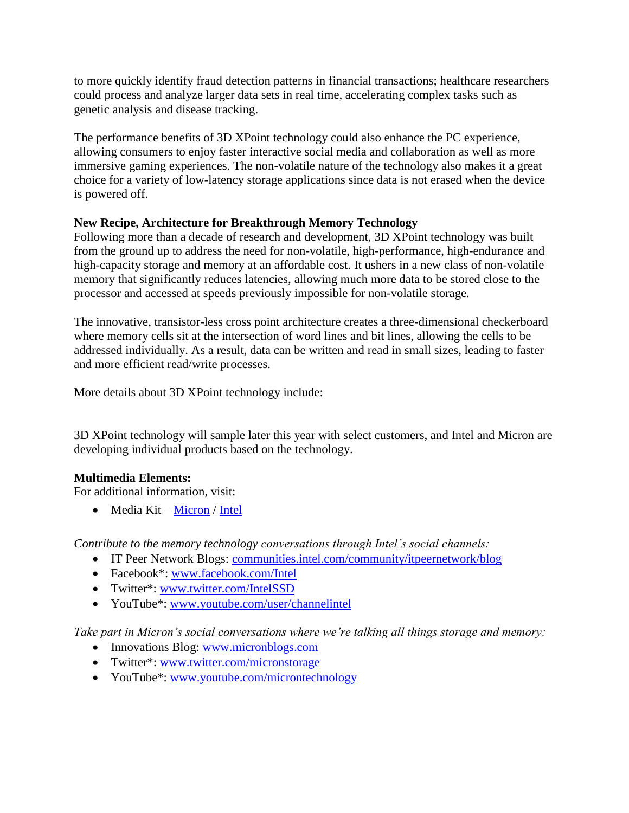to more quickly identify fraud detection patterns in financial transactions; healthcare researchers could process and analyze larger data sets in real time, accelerating complex tasks such as genetic analysis and disease tracking.

The performance benefits of 3D XPoint technology could also enhance the PC experience, allowing consumers to enjoy faster interactive social media and collaboration as well as more immersive gaming experiences. The non-volatile nature of the technology also makes it a great choice for a variety of low-latency storage applications since data is not erased when the device is powered off.

## **New Recipe, Architecture for Breakthrough Memory Technology**

Following more than a decade of research and development, 3D XPoint technology was built from the ground up to address the need for non-volatile, high-performance, high-endurance and high-capacity storage and memory at an affordable cost. It ushers in a new class of non-volatile memory that significantly reduces latencies, allowing much more data to be stored close to the processor and accessed at speeds previously impossible for non-volatile storage.

The innovative, transistor-less cross point architecture creates a three-dimensional checkerboard where memory cells sit at the intersection of word lines and bit lines, allowing the cells to be addressed individually. As a result, data can be written and read in small sizes, leading to faster and more efficient read/write processes.

More details about 3D XPoint technology include:

3D XPoint technology will sample later this year with select customers, and Intel and Micron are developing individual products based on the technology.

## **Multimedia Elements:**

For additional information, visit:

 $\bullet$  Media Kit – [Micron](http://www.micron.com/about/news-and-events/media-relations/media-kits/3d-xpoint-technology) / [Intel](http://newsroom.intel.com/docs/DOC-6713)

*Contribute to the memory technology conversations through Intel's social channels:*

- IT Peer Network Blogs: [communities.intel.com/community/itpeernetwork/blog](https://communities.intel.com/community/itpeernetwork/blog)
- Facebook\*: [www.facebook.com/Intel](https://www.facebook.com/Intel)
- Twitter\*: [www.twitter.com/IntelSSD](http://www.twitter.com/IntelSSD)
- YouTube<sup>\*</sup>: [www.youtube.com/user/channelintel](http://www.youtube.com/user/channelintel)

*Take part in Micron's social conversations where we're talking all things storage and memory:*

- Innovations Blog: [www.micronblogs.com](http://www.micronblogs.com/)
- Twitter\*: [www.twitter.com/micronstorage](http://www.twitter.com/micronstorage)
- YouTube<sup>\*</sup>: [www.youtube.com/microntechnology](http://www.youtube.com/microntechnology)